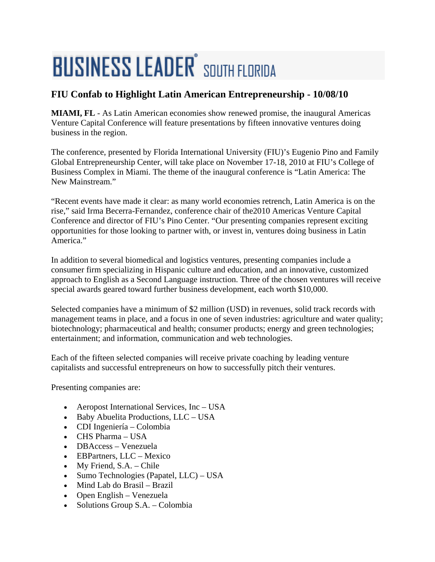## **BUSINESS LEADER** SOUTH FLORIDA

## **FIU Confab to Highlight Latin American Entrepreneurship - 10/08/10**

**MIAMI, FL** - As Latin American economies show renewed promise, the inaugural Americas Venture Capital Conference will feature presentations by fifteen innovative ventures doing business in the region.

The conference, presented by Florida International University (FIU)'s Eugenio Pino and Family Global Entrepreneurship Center, will take place on November 17-18, 2010 at FIU's College of Business Complex in Miami. The theme of the inaugural conference is "Latin America: The New Mainstream."

"Recent events have made it clear: as many world economies retrench, Latin America is on the rise," said Irma Becerra-Fernandez, conference chair of the2010 Americas Venture Capital Conference and director of FIU's Pino Center. "Our presenting companies represent exciting opportunities for those looking to partner with, or invest in, ventures doing business in Latin America<sup>"</sup>

In addition to several biomedical and logistics ventures, presenting companies include a consumer firm specializing in Hispanic culture and education, and an innovative, customized approach to English as a Second Language instruction. Three of the chosen ventures will receive special awards geared toward further business development, each worth \$10,000.

Selected companies have a minimum of \$2 million (USD) in revenues, solid track records with management teams in place, and a focus in one of seven industries: agriculture and water quality; biotechnology; pharmaceutical and health; consumer products; energy and green technologies; entertainment; and information, communication and web technologies.

Each of the fifteen selected companies will receive private coaching by leading venture capitalists and successful entrepreneurs on how to successfully pitch their ventures.

Presenting companies are:

- Aeropost International Services, Inc USA
- Baby Abuelita Productions, LLC USA
- CDI Ingeniería Colombia
- CHS Pharma USA
- DBAccess Venezuela
- EBPartners, LLC Mexico
- My Friend, S.A. Chile
- Sumo Technologies (Papatel, LLC) USA
- Mind Lab do Brasil Brazil
- Open English Venezuela
- Solutions Group S.A. Colombia